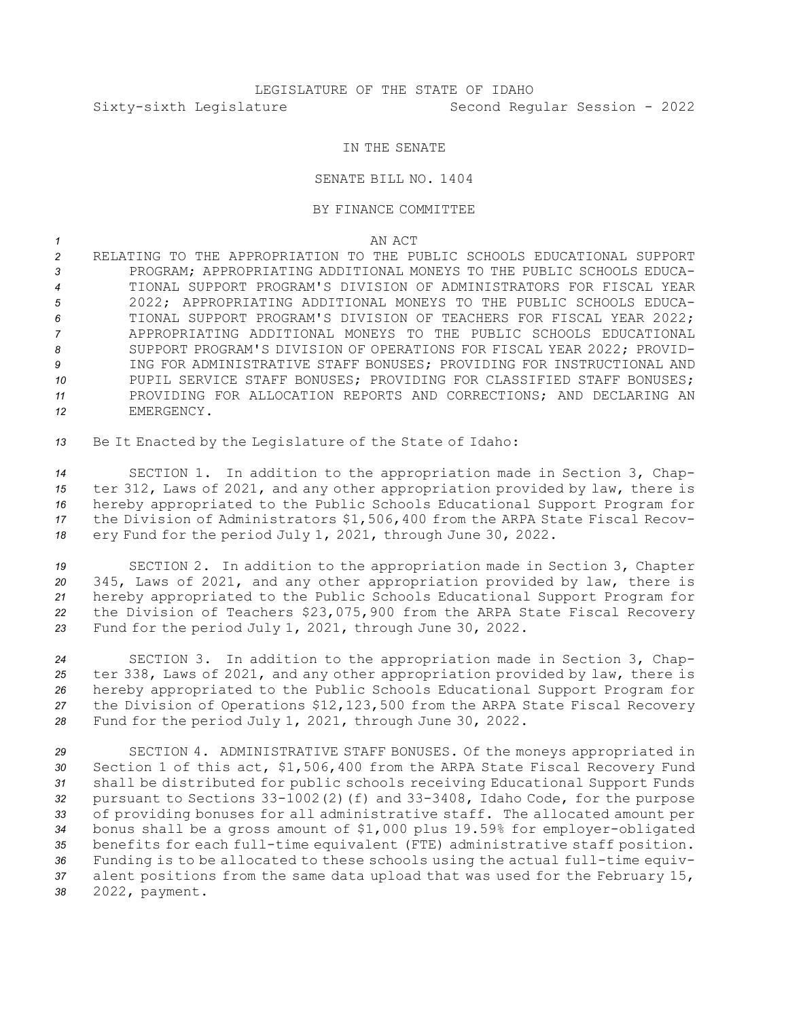## IN THE SENATE

## SENATE BILL NO. 1404

## BY FINANCE COMMITTEE

*1* AN ACT

 RELATING TO THE APPROPRIATION TO THE PUBLIC SCHOOLS EDUCATIONAL SUPPORT PROGRAM; APPROPRIATING ADDITIONAL MONEYS TO THE PUBLIC SCHOOLS EDUCA- TIONAL SUPPORT PROGRAM'S DIVISION OF ADMINISTRATORS FOR FISCAL YEAR 2022; APPROPRIATING ADDITIONAL MONEYS TO THE PUBLIC SCHOOLS EDUCA- TIONAL SUPPORT PROGRAM'S DIVISION OF TEACHERS FOR FISCAL YEAR 2022; APPROPRIATING ADDITIONAL MONEYS TO THE PUBLIC SCHOOLS EDUCATIONAL 8 SUPPORT PROGRAM'S DIVISION OF OPERATIONS FOR FISCAL YEAR 2022; PROVID- ING FOR ADMINISTRATIVE STAFF BONUSES; PROVIDING FOR INSTRUCTIONAL AND 10 PUPIL SERVICE STAFF BONUSES; PROVIDING FOR CLASSIFIED STAFF BONUSES; PROVIDING FOR ALLOCATION REPORTS AND CORRECTIONS; AND DECLARING AN EMERGENCY.

*<sup>13</sup>* Be It Enacted by the Legislature of the State of Idaho:

 SECTION 1. In addition to the appropriation made in Section 3, Chap- ter 312, Laws of 2021, and any other appropriation provided by law, there is hereby appropriated to the Public Schools Educational Support Program for the Division of Administrators \$1,506,400 from the ARPA State Fiscal Recov-ery Fund for the period July 1, 2021, through June 30, 2022.

 SECTION 2. In addition to the appropriation made in Section 3, Chapter 345, Laws of 2021, and any other appropriation provided by law, there is hereby appropriated to the Public Schools Educational Support Program for the Division of Teachers \$23,075,900 from the ARPA State Fiscal Recovery Fund for the period July 1, 2021, through June 30, 2022.

 SECTION 3. In addition to the appropriation made in Section 3, Chap- ter 338, Laws of 2021, and any other appropriation provided by law, there is hereby appropriated to the Public Schools Educational Support Program for the Division of Operations \$12,123,500 from the ARPA State Fiscal Recovery Fund for the period July 1, 2021, through June 30, 2022.

 SECTION 4. ADMINISTRATIVE STAFF BONUSES. Of the moneys appropriated in Section 1 of this act, \$1,506,400 from the ARPA State Fiscal Recovery Fund shall be distributed for public schools receiving Educational Support Funds pursuant to Sections 33-1002(2)(f) and 33-3408, Idaho Code, for the purpose of providing bonuses for all administrative staff. The allocated amount per bonus shall be <sup>a</sup> gross amount of \$1,000 plus 19.59% for employer-obligated benefits for each full-time equivalent (FTE) administrative staff position. Funding is to be allocated to these schools using the actual full-time equiv- alent positions from the same data upload that was used for the February 15, 2022, payment.